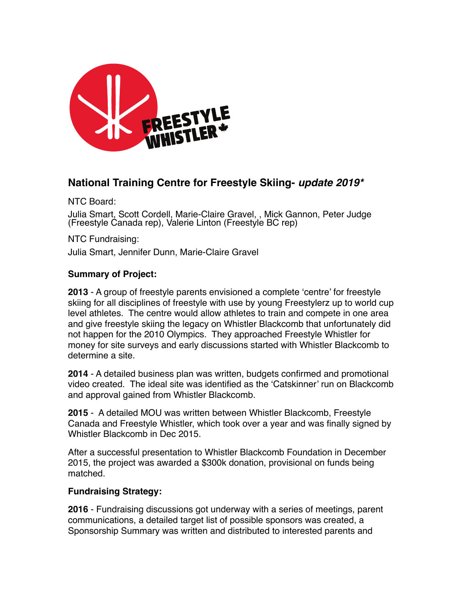

# **National Training Centre for Freestyle Skiing-** *update 2019\**

NTC Board:

Julia Smart, Scott Cordell, Marie-Claire Gravel, , Mick Gannon, Peter Judge (Freestyle Canada rep), Valerie Linton (Freestyle BC rep)

NTC Fundraising: Julia Smart, Jennifer Dunn, Marie-Claire Gravel

## **Summary of Project:**

**2013** - A group of freestyle parents envisioned a complete 'centre' for freestyle skiing for all disciplines of freestyle with use by young Freestylerz up to world cup level athletes. The centre would allow athletes to train and compete in one area and give freestyle skiing the legacy on Whistler Blackcomb that unfortunately did not happen for the 2010 Olympics. They approached Freestyle Whistler for money for site surveys and early discussions started with Whistler Blackcomb to determine a site.

**2014** - A detailed business plan was written, budgets confirmed and promotional video created. The ideal site was identified as the 'Catskinner' run on Blackcomb and approval gained from Whistler Blackcomb.

**2015** - A detailed MOU was written between Whistler Blackcomb, Freestyle Canada and Freestyle Whistler, which took over a year and was finally signed by Whistler Blackcomb in Dec 2015.

After a successful presentation to Whistler Blackcomb Foundation in December 2015, the project was awarded a \$300k donation, provisional on funds being matched.

## **Fundraising Strategy:**

**2016** - Fundraising discussions got underway with a series of meetings, parent communications, a detailed target list of possible sponsors was created, a Sponsorship Summary was written and distributed to interested parents and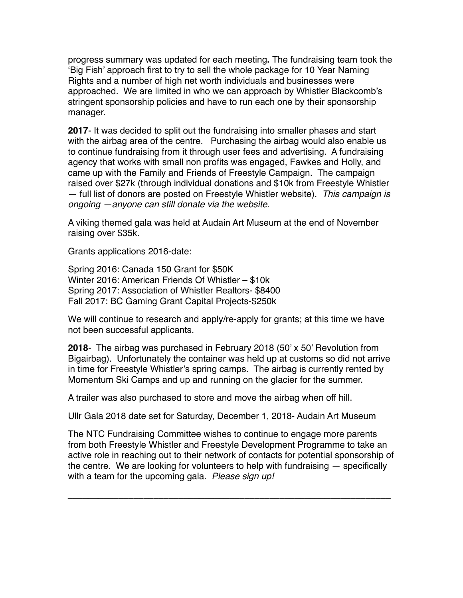progress summary was updated for each meeting**.** The fundraising team took the 'Big Fish' approach first to try to sell the whole package for 10 Year Naming Rights and a number of high net worth individuals and businesses were approached. We are limited in who we can approach by Whistler Blackcomb's stringent sponsorship policies and have to run each one by their sponsorship manager.

**2017**- It was decided to split out the fundraising into smaller phases and start with the airbag area of the centre. Purchasing the airbag would also enable us to continue fundraising from it through user fees and advertising. A fundraising agency that works with small non profits was engaged, Fawkes and Holly, and came up with the Family and Friends of Freestyle Campaign. The campaign raised over \$27k (through individual donations and \$10k from Freestyle Whistler — full list of donors are posted on Freestyle Whistler website). *This campaign is ongoing —anyone can still donate via the website.*

A viking themed gala was held at Audain Art Museum at the end of November raising over \$35k.

Grants applications 2016-date:

Spring 2016: Canada 150 Grant for \$50K Winter 2016: American Friends Of Whistler – \$10k Spring 2017: Association of Whistler Realtors- \$8400 Fall 2017: BC Gaming Grant Capital Projects-\$250k

We will continue to research and apply/re-apply for grants; at this time we have not been successful applicants.

**2018**- The airbag was purchased in February 2018 (50' x 50' Revolution from Bigairbag). Unfortunately the container was held up at customs so did not arrive in time for Freestyle Whistler's spring camps. The airbag is currently rented by Momentum Ski Camps and up and running on the glacier for the summer.

A trailer was also purchased to store and move the airbag when off hill.

Ullr Gala 2018 date set for Saturday, December 1, 2018- Audain Art Museum

The NTC Fundraising Committee wishes to continue to engage more parents from both Freestyle Whistler and Freestyle Development Programme to take an active role in reaching out to their network of contacts for potential sponsorship of the centre. We are looking for volunteers to help with fundraising — specifically with a team for the upcoming gala. *Please sign up!*

*\_\_\_\_\_\_\_\_\_\_\_\_\_\_\_\_\_\_\_\_\_\_\_\_\_\_\_\_\_\_\_\_\_\_\_\_\_\_\_\_\_\_\_\_\_\_\_\_\_\_\_\_\_\_\_\_\_\_\_\_\_\_\_\_*